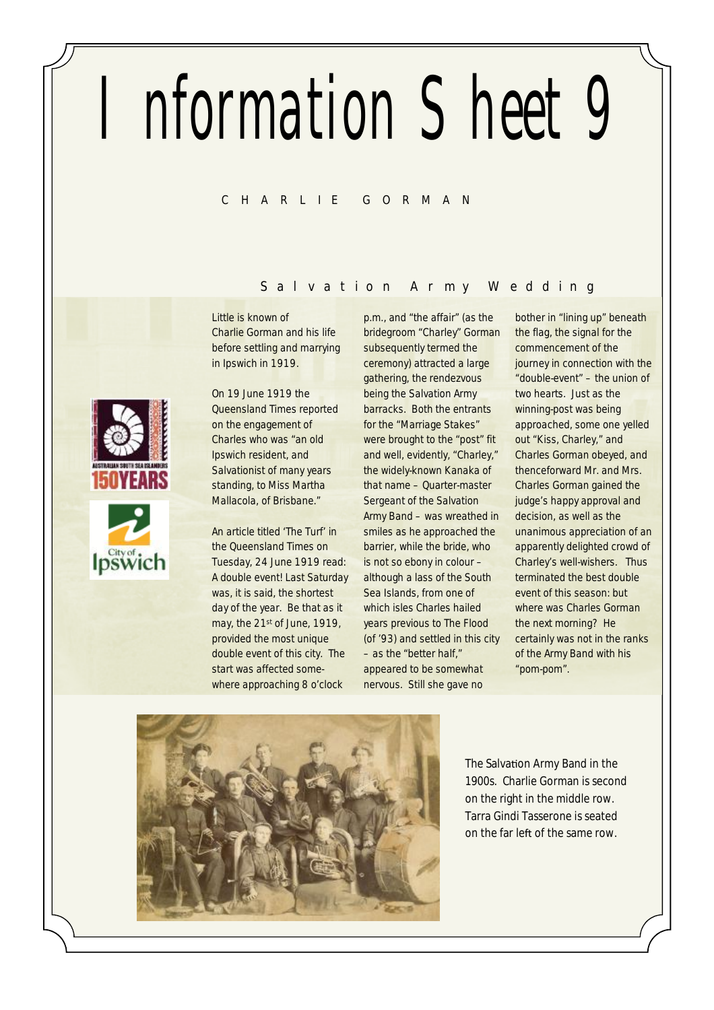# Information Sheet 9

# **C H A R L I E G O R M A N**

# **S a l v a t i o n A rmy W e d d i n g**

Little is known of Charlie Gorman and his life before settling and marrying in Ipswich in 1919.

On 19 June 1919 the Queensland Times reported on the engagement of Charles who was "an old Ipswich resident, and Salvationist of many years standing, to Miss Martha Mallacola, of Brisbane."

An article titled 'The Turf' in the Queensland Times on Tuesday, 24 June 1919 read: A double event! Last Saturday was, it is said, the shortest day of the year. Be that as it may, the 21st of June, 1919, provided the most unique double event of this city. The start was affected somewhere approaching 8 o'clock

p.m., and "the affair" (as the bridegroom "Charley" Gorman subsequently termed the ceremony) attracted a large gathering, the rendezvous being the Salvation Army barracks. Both the entrants for the "Marriage Stakes" were brought to the "post" fit and well, evidently, "Charley," the widely-known Kanaka of that name – Quarter-master Sergeant of the Salvation Army Band – was wreathed in smiles as he approached the barrier, while the bride, who is not so ebony in colour – although a lass of the South Sea Islands, from one of which isles Charles hailed years previous to The Flood (of '93) and settled in this city – as the "better half," appeared to be somewhat nervous. Still she gave no

bother in "lining up" beneath the flag, the signal for the commencement of the journey in connection with the "double-event" – the union of two hearts. Just as the winning-post was being approached, some one yelled out "Kiss, Charley," and Charles Gorman obeyed, and thenceforward Mr. and Mrs. Charles Gorman gained the judge's happy approval and decision, as well as the unanimous appreciation of an apparently delighted crowd of Charley's well-wishers. Thus terminated the best double event of this season: but where was Charles Gorman the next morning? He certainly was not in the ranks of the Army Band with his "pom-pom".



The Salvation Army Band in the 1900s. Charlie Gorman is second on the right in the middle row. Tarra Gindi Tasserone is seated on the far left of the same row.